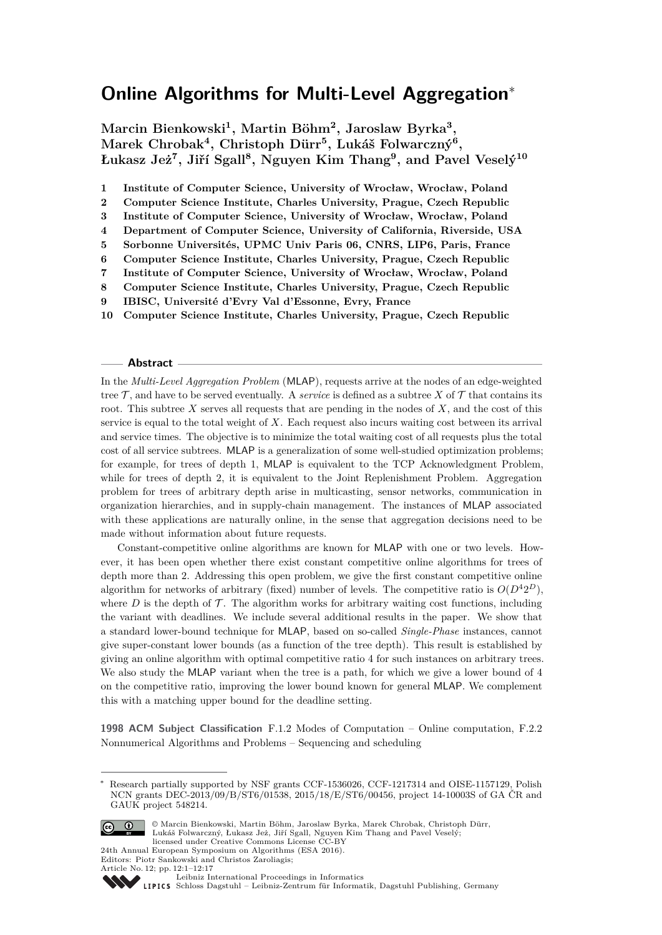# **Online Algorithms for Multi-Level Aggregation**<sup>∗</sup>

**Marcin Bienkowski<sup>1</sup> , Martin Böhm<sup>2</sup> , Jaroslaw Byrka<sup>3</sup> , Marek Chrobak<sup>4</sup> , Christoph Dürr<sup>5</sup> , Lukáš Folwarczný<sup>6</sup> , Łukasz Jeż<sup>7</sup> , Jiří Sgall<sup>8</sup> , Nguyen Kim Thang<sup>9</sup> , and Pavel Veselý<sup>10</sup>**

**1 Institute of Computer Science, University of Wrocław, Wrocław, Poland**

**2 Computer Science Institute, Charles University, Prague, Czech Republic**

**3 Institute of Computer Science, University of Wrocław, Wrocław, Poland**

- **4 Department of Computer Science, University of California, Riverside, USA**
- **5 Sorbonne Universités, UPMC Univ Paris 06, CNRS, LIP6, Paris, France**
- **6 Computer Science Institute, Charles University, Prague, Czech Republic**
- **7 Institute of Computer Science, University of Wrocław, Wrocław, Poland**
- **8 Computer Science Institute, Charles University, Prague, Czech Republic**
- **9 IBISC, Université d'Evry Val d'Essonne, Evry, France**
- **10 Computer Science Institute, Charles University, Prague, Czech Republic**

#### **Abstract**

In the *Multi-Level Aggregation Problem* (MLAP), requests arrive at the nodes of an edge-weighted tree  $\mathcal T$ , and have to be served eventually. A *service* is defined as a subtree X of  $\mathcal T$  that contains its root. This subtree *X* serves all requests that are pending in the nodes of *X*, and the cost of this service is equal to the total weight of *X*. Each request also incurs waiting cost between its arrival and service times. The objective is to minimize the total waiting cost of all requests plus the total cost of all service subtrees. MLAP is a generalization of some well-studied optimization problems; for example, for trees of depth 1, MLAP is equivalent to the TCP Acknowledgment Problem, while for trees of depth 2, it is equivalent to the Joint Replenishment Problem. Aggregation problem for trees of arbitrary depth arise in multicasting, sensor networks, communication in organization hierarchies, and in supply-chain management. The instances of MLAP associated with these applications are naturally online, in the sense that aggregation decisions need to be made without information about future requests.

Constant-competitive online algorithms are known for MLAP with one or two levels. However, it has been open whether there exist constant competitive online algorithms for trees of depth more than 2. Addressing this open problem, we give the first constant competitive online algorithm for networks of arbitrary (fixed) number of levels. The competitive ratio is  $O(D^42^D)$ , where  $D$  is the depth of  $\mathcal T$ . The algorithm works for arbitrary waiting cost functions, including the variant with deadlines. We include several additional results in the paper. We show that a standard lower-bound technique for MLAP, based on so-called *Single-Phase* instances, cannot give super-constant lower bounds (as a function of the tree depth). This result is established by giving an online algorithm with optimal competitive ratio 4 for such instances on arbitrary trees. We also study the MLAP variant when the tree is a path, for which we give a lower bound of 4 on the competitive ratio, improving the lower bound known for general MLAP. We complement this with a matching upper bound for the deadline setting.

**1998 ACM Subject Classification** F.1.2 Modes of Computation – Online computation, F.2.2 Nonnumerical Algorithms and Problems – Sequencing and scheduling

Research partially supported by NSF grants CCF-1536026, CCF-1217314 and OISE-1157129, Polish NCN grants DEC-2013/09/B/ST6/01538, 2015/18/E/ST6/00456, project 14-10003S of GA ČR and GAUK project 548214.



© Marcin Bienkowski, Martin Böhm, Jaroslaw Byrka, Marek Chrobak, Christoph Dürr, Lukáš Folwarczný, Łukasz Jeż, Jiří Sgall, Nguyen Kim Thang and Pavel Veselý; licensed under Creative Commons License CC-BY

24th Annual European Symposium on Algorithms (ESA 2016). Editors: Piotr Sankowski and Christos Zaroliagis; Article No. 12; pp. 12:1–12[:17](#page-16-0)



[Leibniz International Proceedings in Informatics](http://www.dagstuhl.de/lipics/)

[Schloss Dagstuhl – Leibniz-Zentrum für Informatik, Dagstuhl Publishing, Germany](http://www.dagstuhl.de)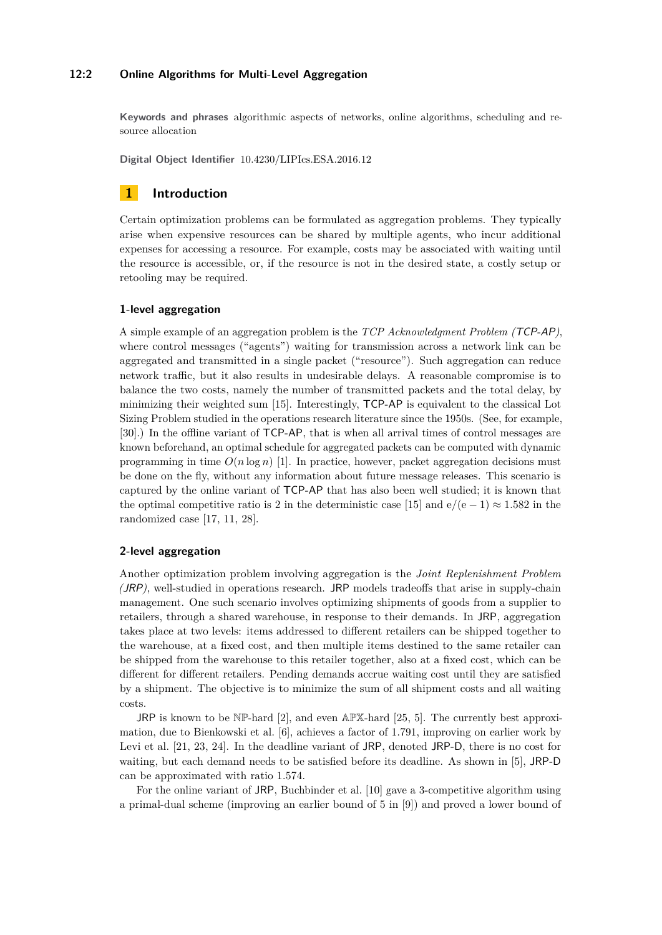# **12:2 Online Algorithms for Multi-Level Aggregation**

**Keywords and phrases** algorithmic aspects of networks, online algorithms, scheduling and resource allocation

**Digital Object Identifier** [10.4230/LIPIcs.ESA.2016.12](http://dx.doi.org/10.4230/LIPIcs.ESA.2016.12)

# **1 Introduction**

Certain optimization problems can be formulated as aggregation problems. They typically arise when expensive resources can be shared by multiple agents, who incur additional expenses for accessing a resource. For example, costs may be associated with waiting until the resource is accessible, or, if the resource is not in the desired state, a costly setup or retooling may be required.

### **1-level aggregation**

A simple example of an aggregation problem is the *TCP Acknowledgment Problem (*TCP-AP*)*, where control messages ("agents") waiting for transmission across a network link can be aggregated and transmitted in a single packet ("resource"). Such aggregation can reduce network traffic, but it also results in undesirable delays. A reasonable compromise is to balance the two costs, namely the number of transmitted packets and the total delay, by minimizing their weighted sum [\[15\]](#page-16-1). Interestingly, TCP-AP is equivalent to the classical Lot Sizing Problem studied in the operations research literature since the 1950s. (See, for example, [\[30\]](#page-16-2).) In the offline variant of TCP-AP, that is when all arrival times of control messages are known beforehand, an optimal schedule for aggregated packets can be computed with dynamic programming in time  $O(n \log n)$  [\[1\]](#page-15-0). In practice, however, packet aggregation decisions must be done on the fly, without any information about future message releases. This scenario is captured by the online variant of TCP-AP that has also been well studied; it is known that the optimal competitive ratio is 2 in the deterministic case [\[15\]](#page-16-1) and  $e/(e-1) \approx 1.582$  in the randomized case [\[17,](#page-16-3) [11,](#page-15-1) [28\]](#page-16-4).

# **2-level aggregation**

Another optimization problem involving aggregation is the *Joint Replenishment Problem (*JRP*)*, well-studied in operations research. JRP models tradeoffs that arise in supply-chain management. One such scenario involves optimizing shipments of goods from a supplier to retailers, through a shared warehouse, in response to their demands. In JRP, aggregation takes place at two levels: items addressed to different retailers can be shipped together to the warehouse, at a fixed cost, and then multiple items destined to the same retailer can be shipped from the warehouse to this retailer together, also at a fixed cost, which can be different for different retailers. Pending demands accrue waiting cost until they are satisfied by a shipment. The objective is to minimize the sum of all shipment costs and all waiting costs.

JRP is known to be  $N\mathbb{P}$ -hard [\[2\]](#page-15-2), and even APX-hard [\[25,](#page-16-5) [5\]](#page-15-3). The currently best approximation, due to Bienkowski et al. [\[6\]](#page-15-4), achieves a factor of 1*.*791, improving on earlier work by Levi et al. [\[21,](#page-16-6) [23,](#page-16-7) [24\]](#page-16-8). In the deadline variant of JRP, denoted JRP-D, there is no cost for waiting, but each demand needs to be satisfied before its deadline. As shown in [\[5\]](#page-15-3), JRP-D can be approximated with ratio 1*.*574.

For the online variant of JRP, Buchbinder et al. [\[10\]](#page-15-5) gave a 3-competitive algorithm using a primal-dual scheme (improving an earlier bound of 5 in [\[9\]](#page-15-6)) and proved a lower bound of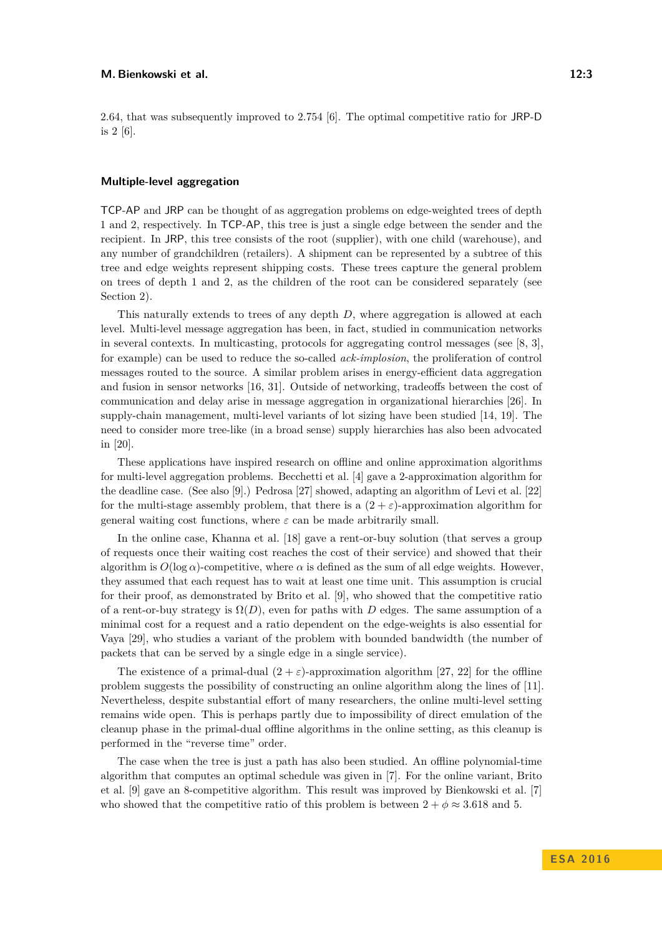2*.*64, that was subsequently improved to 2*.*754 [\[6\]](#page-15-4). The optimal competitive ratio for JRP-D is 2 [\[6\]](#page-15-4).

#### **Multiple-level aggregation**

TCP-AP and JRP can be thought of as aggregation problems on edge-weighted trees of depth 1 and 2, respectively. In TCP-AP, this tree is just a single edge between the sender and the recipient. In JRP, this tree consists of the root (supplier), with one child (warehouse), and any number of grandchildren (retailers). A shipment can be represented by a subtree of this tree and edge weights represent shipping costs. These trees capture the general problem on trees of depth 1 and 2, as the children of the root can be considered separately (see Section [2\)](#page-4-0).

This naturally extends to trees of any depth *D*, where aggregation is allowed at each level. Multi-level message aggregation has been, in fact, studied in communication networks in several contexts. In multicasting, protocols for aggregating control messages (see [\[8,](#page-15-7) [3\]](#page-15-8), for example) can be used to reduce the so-called *ack-implosion*, the proliferation of control messages routed to the source. A similar problem arises in energy-efficient data aggregation and fusion in sensor networks [\[16,](#page-16-9) [31\]](#page-16-10). Outside of networking, tradeoffs between the cost of communication and delay arise in message aggregation in organizational hierarchies [\[26\]](#page-16-11). In supply-chain management, multi-level variants of lot sizing have been studied [\[14,](#page-15-9) [19\]](#page-16-12). The need to consider more tree-like (in a broad sense) supply hierarchies has also been advocated in [\[20\]](#page-16-13).

These applications have inspired research on offline and online approximation algorithms for multi-level aggregation problems. Becchetti et al. [\[4\]](#page-15-10) gave a 2-approximation algorithm for the deadline case. (See also [\[9\]](#page-15-6).) Pedrosa [\[27\]](#page-16-14) showed, adapting an algorithm of Levi et al. [\[22\]](#page-16-15) for the multi-stage assembly problem, that there is a  $(2 + \varepsilon)$ -approximation algorithm for general waiting cost functions, where  $\varepsilon$  can be made arbitrarily small.

In the online case, Khanna et al. [\[18\]](#page-16-16) gave a rent-or-buy solution (that serves a group of requests once their waiting cost reaches the cost of their service) and showed that their algorithm is  $O(\log \alpha)$ -competitive, where  $\alpha$  is defined as the sum of all edge weights. However, they assumed that each request has to wait at least one time unit. This assumption is crucial for their proof, as demonstrated by Brito et al. [\[9\]](#page-15-6), who showed that the competitive ratio of a rent-or-buy strategy is  $\Omega(D)$ , even for paths with *D* edges. The same assumption of a minimal cost for a request and a ratio dependent on the edge-weights is also essential for Vaya [\[29\]](#page-16-17), who studies a variant of the problem with bounded bandwidth (the number of packets that can be served by a single edge in a single service).

The existence of a primal-dual  $(2 + \varepsilon)$ -approximation algorithm [\[27,](#page-16-14) [22\]](#page-16-15) for the offline problem suggests the possibility of constructing an online algorithm along the lines of [\[11\]](#page-15-1). Nevertheless, despite substantial effort of many researchers, the online multi-level setting remains wide open. This is perhaps partly due to impossibility of direct emulation of the cleanup phase in the primal-dual offline algorithms in the online setting, as this cleanup is performed in the "reverse time" order.

The case when the tree is just a path has also been studied. An offline polynomial-time algorithm that computes an optimal schedule was given in [\[7\]](#page-15-11). For the online variant, Brito et al. [\[9\]](#page-15-6) gave an 8-competitive algorithm. This result was improved by Bienkowski et al. [\[7\]](#page-15-11) who showed that the competitive ratio of this problem is between  $2 + \phi \approx 3.618$  and 5.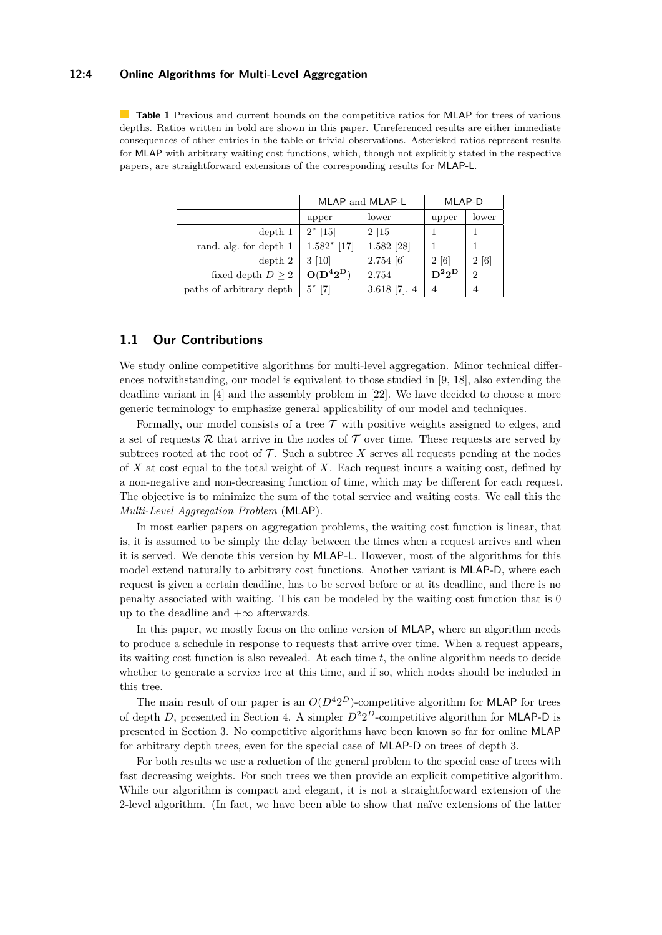# **12:4 Online Algorithms for Multi-Level Aggregation**

**Table 1** Previous and current bounds on the competitive ratios for MLAP for trees of various depths. Ratios written in bold are shown in this paper. Unreferenced results are either immediate consequences of other entries in the table or trivial observations. Asterisked ratios represent results for MLAP with arbitrary waiting cost functions, which, though not explicitly stated in the respective papers, are straightforward extensions of the corresponding results for MLAP-L.

|                          | MLAP and MLAP-L |                | MLAP-D   |                |
|--------------------------|-----------------|----------------|----------|----------------|
|                          | upper           | lower          | upper    | lower          |
| depth 1                  | $2^*$ [15]      | $2\;[15]$      |          |                |
| rand. alg. for depth 1   | $1.582*$ [17]   | 1.582 [28]     |          |                |
| depth 2                  | $3 \; [10]$     | 2.754[6]       | 2[6]     | 2 [6]          |
| fixed depth $D \geq 2$   | $O(D^42^D)$     | 2.754          | $D^22^D$ | $\overline{2}$ |
| paths of arbitrary depth | $5^*$ [7]       | $3.618$ [7], 4 |          | 4              |

# **1.1 Our Contributions**

We study online competitive algorithms for multi-level aggregation. Minor technical differences notwithstanding, our model is equivalent to those studied in [\[9,](#page-15-6) [18\]](#page-16-16), also extending the deadline variant in [\[4\]](#page-15-10) and the assembly problem in [\[22\]](#page-16-15). We have decided to choose a more generic terminology to emphasize general applicability of our model and techniques.

Formally, our model consists of a tree  $\mathcal T$  with positive weights assigned to edges, and a set of requests R that arrive in the nodes of  $\mathcal T$  over time. These requests are served by subtrees rooted at the root of  $\mathcal T$ . Such a subtree  $X$  serves all requests pending at the nodes of *X* at cost equal to the total weight of *X*. Each request incurs a waiting cost, defined by a non-negative and non-decreasing function of time, which may be different for each request. The objective is to minimize the sum of the total service and waiting costs. We call this the *Multi-Level Aggregation Problem* (MLAP).

In most earlier papers on aggregation problems, the waiting cost function is linear, that is, it is assumed to be simply the delay between the times when a request arrives and when it is served. We denote this version by MLAP-L. However, most of the algorithms for this model extend naturally to arbitrary cost functions. Another variant is MLAP-D, where each request is given a certain deadline, has to be served before or at its deadline, and there is no penalty associated with waiting. This can be modeled by the waiting cost function that is 0 up to the deadline and  $+\infty$  afterwards.

In this paper, we mostly focus on the online version of MLAP, where an algorithm needs to produce a schedule in response to requests that arrive over time. When a request appears, its waiting cost function is also revealed. At each time *t*, the online algorithm needs to decide whether to generate a service tree at this time, and if so, which nodes should be included in this tree.

The main result of our paper is an  $O(D^42^D)$ -competitive algorithm for MLAP for trees of depth *D*, presented in Section [4.](#page-10-0) A simpler  $D^2 2^D$ -competitive algorithm for MLAP-D is presented in Section [3.](#page-6-0) No competitive algorithms have been known so far for online MLAP for arbitrary depth trees, even for the special case of MLAP-D on trees of depth 3.

For both results we use a reduction of the general problem to the special case of trees with fast decreasing weights. For such trees we then provide an explicit competitive algorithm. While our algorithm is compact and elegant, it is not a straightforward extension of the 2-level algorithm. (In fact, we have been able to show that naïve extensions of the latter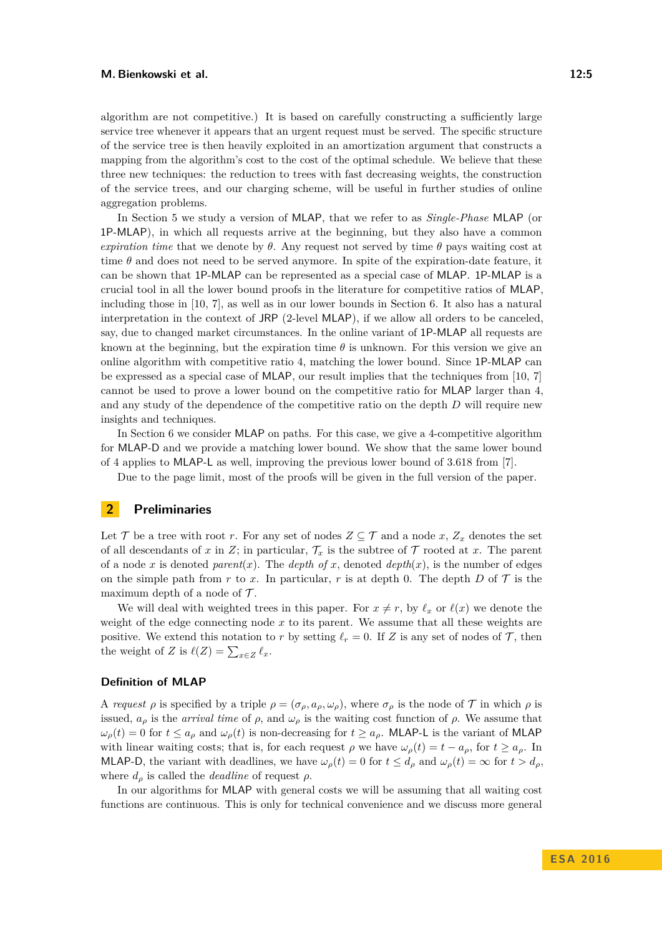algorithm are not competitive.) It is based on carefully constructing a sufficiently large service tree whenever it appears that an urgent request must be served. The specific structure of the service tree is then heavily exploited in an amortization argument that constructs a mapping from the algorithm's cost to the cost of the optimal schedule. We believe that these three new techniques: the reduction to trees with fast decreasing weights, the construction of the service trees, and our charging scheme, will be useful in further studies of online aggregation problems.

In Section [5](#page-12-0) we study a version of MLAP, that we refer to as *Single-Phase* MLAP (or 1P-MLAP), in which all requests arrive at the beginning, but they also have a common *expiration time* that we denote by  $\theta$ . Any request not served by time  $\theta$  pays waiting cost at time  $\theta$  and does not need to be served anymore. In spite of the expiration-date feature, it can be shown that 1P-MLAP can be represented as a special case of MLAP. 1P-MLAP is a crucial tool in all the lower bound proofs in the literature for competitive ratios of MLAP, including those in [\[10,](#page-15-5) [7\]](#page-15-11), as well as in our lower bounds in Section [6.](#page-13-0) It also has a natural interpretation in the context of JRP (2-level MLAP), if we allow all orders to be canceled, say, due to changed market circumstances. In the online variant of 1P-MLAP all requests are known at the beginning, but the expiration time  $\theta$  is unknown. For this version we give an online algorithm with competitive ratio 4, matching the lower bound. Since 1P-MLAP can be expressed as a special case of MLAP, our result implies that the techniques from [\[10,](#page-15-5) [7\]](#page-15-11) cannot be used to prove a lower bound on the competitive ratio for MLAP larger than 4, and any study of the dependence of the competitive ratio on the depth *D* will require new insights and techniques.

In Section [6](#page-13-0) we consider MLAP on paths. For this case, we give a 4-competitive algorithm for MLAP-D and we provide a matching lower bound. We show that the same lower bound of 4 applies to MLAP-L as well, improving the previous lower bound of 3*.*618 from [\[7\]](#page-15-11).

Due to the page limit, most of the proofs will be given in the full version of the paper.

# <span id="page-4-0"></span>**2 Preliminaries**

Let  $\mathcal{T}$  be a tree with root  $r$ . For any set of nodes  $Z \subseteq \mathcal{T}$  and a node  $x, Z_x$  denotes the set of all descendants of x in Z; in particular,  $\mathcal{T}_x$  is the subtree of  $\mathcal{T}$  rooted at x. The parent of a node x is denoted *parent*(x). The *depth of* x, denoted  $depth(x)$ , is the number of edges on the simple path from  $r$  to  $x$ . In particular,  $r$  is at depth 0. The depth  $D$  of  $\mathcal T$  is the maximum depth of a node of  $\mathcal{T}$ .

We will deal with weighted trees in this paper. For  $x \neq r$ , by  $\ell_x$  or  $\ell(x)$  we denote the weight of the edge connecting node *x* to its parent. We assume that all these weights are positive. We extend this notation to *r* by setting  $\ell_r = 0$ . If *Z* is any set of nodes of *T*, then the weight of *Z* is  $\ell(Z) = \sum_{x \in Z} \ell_x$ .

#### **Definition of MLAP**

A *request*  $\rho$  is specified by a triple  $\rho = (\sigma_{\rho}, a_{\rho}, \omega_{\rho})$ , where  $\sigma_{\rho}$  is the node of  $\mathcal T$  in which  $\rho$  is issued,  $a_{\rho}$  is the *arrival time* of  $\rho$ , and  $\omega_{\rho}$  is the waiting cost function of  $\rho$ . We assume that  $\omega_p(t) = 0$  for  $t \leq a_p$  and  $\omega_p(t)$  is non-decreasing for  $t \geq a_p$ . MLAP-L is the variant of MLAP with linear waiting costs; that is, for each request  $\rho$  we have  $\omega_{\rho}(t) = t - a_{\rho}$ , for  $t \ge a_{\rho}$ . In MLAP-D, the variant with deadlines, we have  $\omega_{\rho}(t) = 0$  for  $t \leq d_{\rho}$  and  $\omega_{\rho}(t) = \infty$  for  $t > d_{\rho}$ , where  $d_{\rho}$  is called the *deadline* of request  $\rho$ .

In our algorithms for MLAP with general costs we will be assuming that all waiting cost functions are continuous. This is only for technical convenience and we discuss more general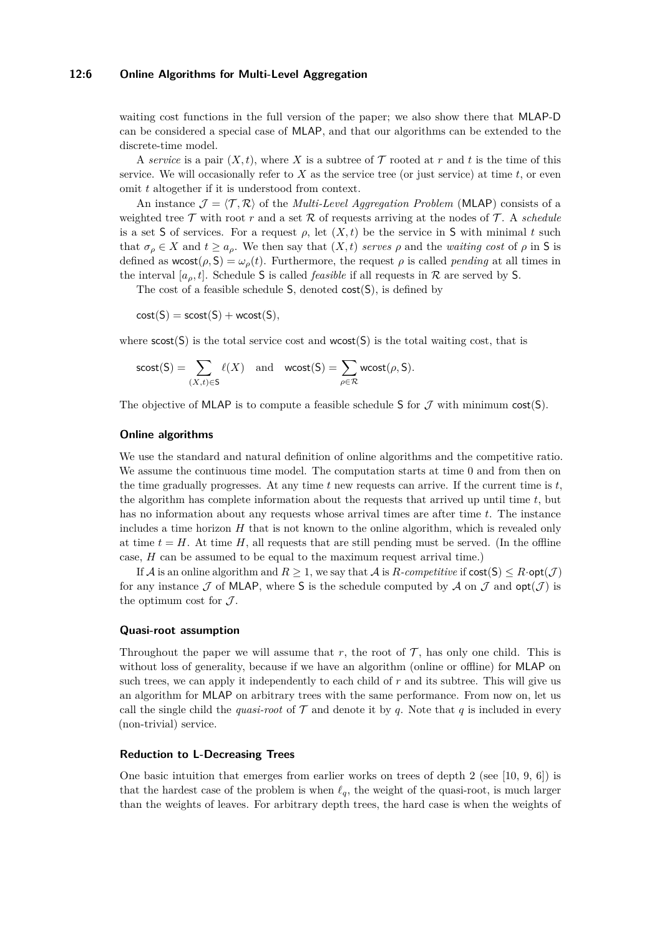### **12:6 Online Algorithms for Multi-Level Aggregation**

waiting cost functions in the full version of the paper; we also show there that MLAP-D can be considered a special case of MLAP, and that our algorithms can be extended to the discrete-time model.

A *service* is a pair  $(X, t)$ , where *X* is a subtree of  $\mathcal T$  rooted at *r* and *t* is the time of this service. We will occasionally refer to  $X$  as the service tree (or just service) at time  $t$ , or even omit *t* altogether if it is understood from context.

An instance  $\mathcal{J} = \langle \mathcal{T}, \mathcal{R} \rangle$  of the *Multi-Level Aggregation Problem* (MLAP) consists of a weighted tree  $\mathcal T$  with root  $r$  and a set  $\mathcal R$  of requests arriving at the nodes of  $\mathcal T$ . A *schedule* is a set S of services. For a request  $\rho$ , let  $(X, t)$  be the service in S with minimal t such that  $\sigma_{\rho} \in X$  and  $t \ge a_{\rho}$ . We then say that  $(X, t)$  *serves*  $\rho$  and the *waiting cost* of  $\rho$  in S is defined as  $wcost(\rho, S) = \omega_{\rho}(t)$ . Furthermore, the request  $\rho$  is called *pending* at all times in the interval  $[a_0, t]$ . Schedule S is called *feasible* if all requests in R are served by S.

The cost of a feasible schedule S, denoted cost(S), is defined by

 $cost(S) = scost(S) + wcost(S)$ ,

where  $\text{scost}(S)$  is the total service cost and  $\text{wcost}(S)$  is the total waiting cost, that is

$$
\mathsf{scost}(S) = \sum_{(X,t) \in S} \ell(X) \quad \text{and} \quad \mathsf{wcost}(S) = \sum_{\rho \in \mathcal{R}} \mathsf{wcost}(\rho, S).
$$

The objective of MLAP is to compute a feasible schedule S for  $\mathcal J$  with minimum cost(S).

#### **Online algorithms**

We use the standard and natural definition of online algorithms and the competitive ratio. We assume the continuous time model. The computation starts at time 0 and from then on the time gradually progresses. At any time  $t$  new requests can arrive. If the current time is  $t$ , the algorithm has complete information about the requests that arrived up until time *t*, but has no information about any requests whose arrival times are after time *t*. The instance includes a time horizon *H* that is not known to the online algorithm, which is revealed only at time  $t = H$ . At time  $H$ , all requests that are still pending must be served. (In the offline case, *H* can be assumed to be equal to the maximum request arrival time.)

If A is an online algorithm and  $R \geq 1$ , we say that A is  $R$ -competitive if  $cost(S) \leq R \cdot opt(\mathcal{J})$ for any instance  $\mathcal J$  of MLAP, where S is the schedule computed by  $\mathcal A$  on  $\mathcal J$  and  $opt(\mathcal J)$  is the optimum cost for  $\mathcal{J}$ .

# **Quasi-root assumption**

Throughout the paper we will assume that  $r$ , the root of  $\mathcal T$ , has only one child. This is without loss of generality, because if we have an algorithm (online or offline) for MLAP on such trees, we can apply it independently to each child of *r* and its subtree. This will give us an algorithm for MLAP on arbitrary trees with the same performance. From now on, let us call the single child the *quasi-root* of  $\mathcal T$  and denote it by *q*. Note that *q* is included in every (non-trivial) service.

### **Reduction to L-Decreasing Trees**

One basic intuition that emerges from earlier works on trees of depth 2 (see [\[10,](#page-15-5) [9,](#page-15-6) [6\]](#page-15-4)) is that the hardest case of the problem is when  $\ell_q$ , the weight of the quasi-root, is much larger than the weights of leaves. For arbitrary depth trees, the hard case is when the weights of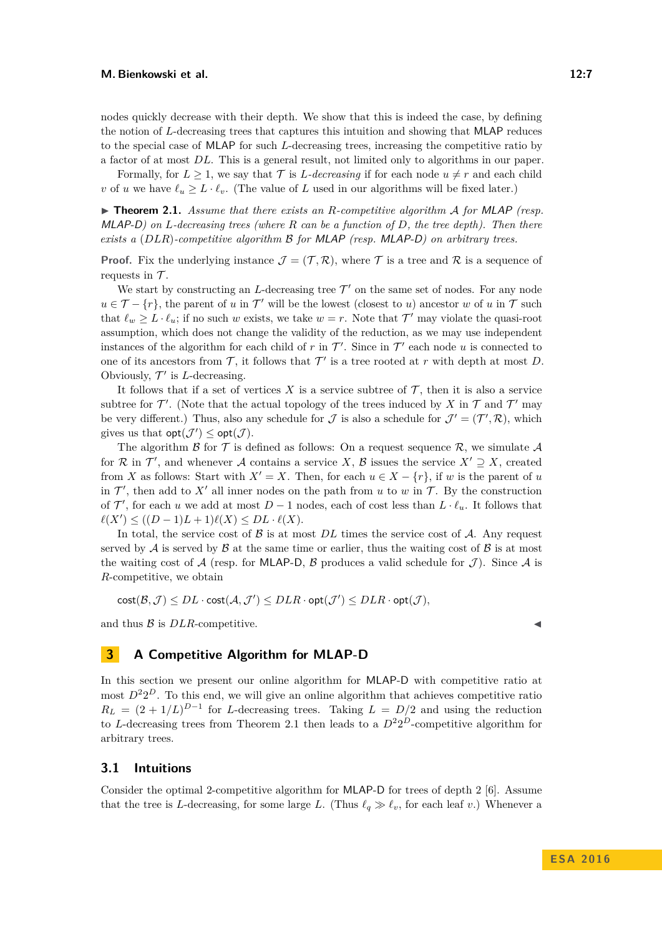nodes quickly decrease with their depth. We show that this is indeed the case, by defining the notion of *L*-decreasing trees that captures this intuition and showing that MLAP reduces to the special case of MLAP for such *L*-decreasing trees, increasing the competitive ratio by a factor of at most *DL*. This is a general result, not limited only to algorithms in our paper.

Formally, for  $L \geq 1$ , we say that  $\mathcal T$  is *L*-decreasing if for each node  $u \neq r$  and each child *v* of *u* we have  $\ell_u > L \cdot \ell_v$ . (The value of *L* used in our algorithms will be fixed later.)

<span id="page-6-1"></span>▶ **Theorem 2.1.** Assume that there exists an R-competitive algorithm A for MLAP (resp. MLAP-D*) on L-decreasing trees (where R can be a function of D, the tree depth). Then there exists a* (*DLR*)*-competitive algorithm* B *for* MLAP *(resp.* MLAP-D*) on arbitrary trees.*

**Proof.** Fix the underlying instance  $\mathcal{J} = (\mathcal{T}, \mathcal{R})$ , where  $\mathcal{T}$  is a tree and  $\mathcal{R}$  is a sequence of requests in  $\mathcal{T}$ .

We start by constructing an *L*-decreasing tree  $\mathcal{T}'$  on the same set of nodes. For any node  $u \in \mathcal{T} - \{r\}$ , the parent of *u* in  $\mathcal{T}'$  will be the lowest (closest to *u*) ancestor *w* of *u* in  $\mathcal{T}$  such that  $\ell_w \geq L \cdot \ell_u$ ; if no such *w* exists, we take  $w = r$ . Note that  $\mathcal{T}'$  may violate the quasi-root assumption, which does not change the validity of the reduction, as we may use independent instances of the algorithm for each child of  $r$  in  $\mathcal{T}'$ . Since in  $\mathcal{T}'$  each node  $u$  is connected to one of its ancestors from  $\mathcal{T}$ , it follows that  $\mathcal{T}'$  is a tree rooted at *r* with depth at most *D*. Obviously,  $\mathcal{T}'$  is *L*-decreasing.

It follows that if a set of vertices  $X$  is a service subtree of  $\mathcal T$ , then it is also a service subtree for  $\mathcal{T}'$ . (Note that the actual topology of the trees induced by *X* in  $\mathcal{T}$  and  $\mathcal{T}'$  may be very different.) Thus, also any schedule for  $\mathcal{J}$  is also a schedule for  $\mathcal{J}' = (\mathcal{T}', \mathcal{R})$ , which gives us that  $opt(\mathcal{J}') \leq opt(\mathcal{J})$ .

The algorithm  $\beta$  for  $\mathcal T$  is defined as follows: On a request sequence  $\mathcal R$ , we simulate  $\mathcal A$ for R in  $\mathcal{T}'$ , and whenever A contains a service X, B issues the service  $X' \supseteq X$ , created from *X* as follows: Start with  $X' = X$ . Then, for each  $u \in X - \{r\}$ , if w is the parent of *u* in  $\mathcal{T}'$ , then add to  $X'$  all inner nodes on the path from *u* to *w* in  $\mathcal{T}$ . By the construction of  $\mathcal{T}'$ , for each *u* we add at most  $D-1$  nodes, each of cost less than  $L \cdot \ell_u$ . It follows that  $\ell(X') \leq ((D-1)L + 1)\ell(X) \leq DL \cdot \ell(X).$ 

In total, the service cost of  $\beta$  is at most  $DL$  times the service cost of  $\mathcal{A}$ . Any request served by  $\mathcal A$  is served by  $\mathcal B$  at the same time or earlier, thus the waiting cost of  $\mathcal B$  is at most the waiting cost of A (resp. for MLAP-D, B produces a valid schedule for  $\mathcal{J}$ ). Since A is *R*-competitive, we obtain

 $cost(\mathcal{B}, \mathcal{J}) \leq DL \cdot \text{cost}(\mathcal{A}, \mathcal{J}') \leq DLR \cdot \text{opt}(\mathcal{J}') \leq DLR \cdot \text{opt}(\mathcal{J}),$ 

and thus  $\beta$  is  $DLR$ -competitive.

# <span id="page-6-0"></span>**3 A Competitive Algorithm for MLAP-D**

In this section we present our online algorithm for MLAP-D with competitive ratio at most  $D^2 2^D$ . To this end, we will give an online algorithm that achieves competitive ratio  $R_L = (2 + 1/L)^{D-1}$  for *L*-decreasing trees. Taking  $L = D/2$  and using the reduction to *L*-decreasing trees from Theorem [2.1](#page-6-1) then leads to a  $D^22^D$ -competitive algorithm for arbitrary trees.

### **3.1 Intuitions**

Consider the optimal 2-competitive algorithm for MLAP-D for trees of depth 2 [\[6\]](#page-15-4). Assume that the tree is *L*-decreasing, for some large *L*. (Thus  $\ell_q \gg \ell_v$ , for each leaf *v*.) Whenever a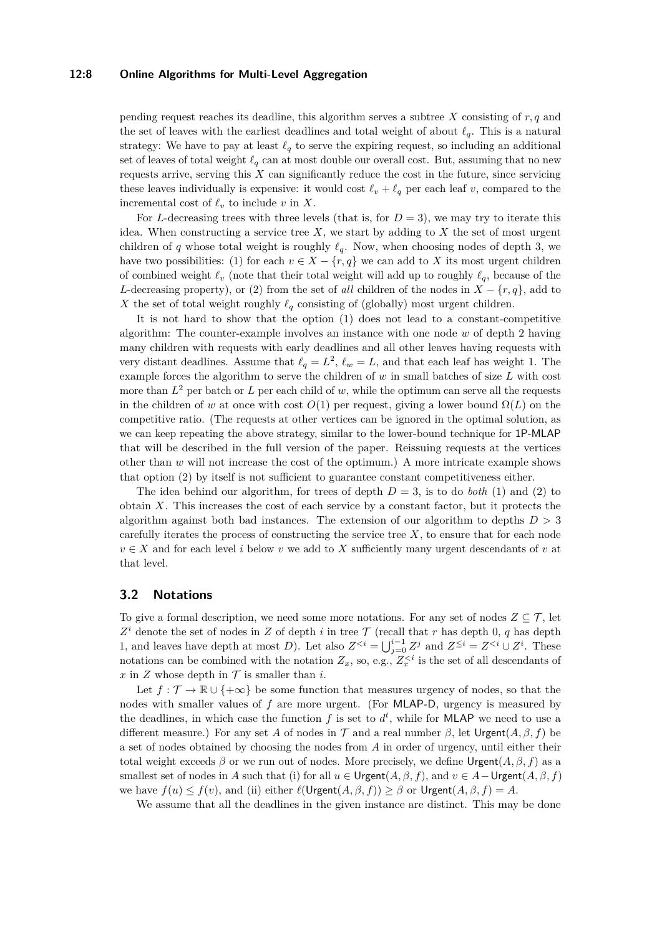### **12:8 Online Algorithms for Multi-Level Aggregation**

pending request reaches its deadline, this algorithm serves a subtree *X* consisting of *r, q* and the set of leaves with the earliest deadlines and total weight of about  $\ell_q$ . This is a natural strategy: We have to pay at least  $\ell_q$  to serve the expiring request, so including an additional set of leaves of total weight  $\ell_q$  can at most double our overall cost. But, assuming that no new requests arrive, serving this *X* can significantly reduce the cost in the future, since servicing these leaves individually is expensive: it would cost  $\ell_v + \ell_q$  per each leaf *v*, compared to the incremental cost of  $\ell_v$  to include *v* in *X*.

For *L*-decreasing trees with three levels (that is, for  $D = 3$ ), we may try to iterate this idea. When constructing a service tree  $X$ , we start by adding to  $X$  the set of most urgent children of *q* whose total weight is roughly  $\ell_q$ . Now, when choosing nodes of depth 3, we have two possibilities: (1) for each  $v \in X - \{r, q\}$  we can add to X its most urgent children of combined weight  $\ell_v$  (note that their total weight will add up to roughly  $\ell_q$ , because of the *L*-decreasing property), or (2) from the set of *all* children of the nodes in  $X - \{r, q\}$ , add to *X* the set of total weight roughly  $\ell_q$  consisting of (globally) most urgent children.

It is not hard to show that the option (1) does not lead to a constant-competitive algorithm: The counter-example involves an instance with one node *w* of depth 2 having many children with requests with early deadlines and all other leaves having requests with very distant deadlines. Assume that  $\ell_q = L^2$ ,  $\ell_w = L$ , and that each leaf has weight 1. The example forces the algorithm to serve the children of *w* in small batches of size *L* with cost more than  $L^2$  per batch or  $L$  per each child of  $w$ , while the optimum can serve all the requests in the children of *w* at once with cost  $O(1)$  per request, giving a lower bound  $\Omega(L)$  on the competitive ratio. (The requests at other vertices can be ignored in the optimal solution, as we can keep repeating the above strategy, similar to the lower-bound technique for 1P-MLAP that will be described in the full version of the paper. Reissuing requests at the vertices other than *w* will not increase the cost of the optimum.) A more intricate example shows that option (2) by itself is not sufficient to guarantee constant competitiveness either.

The idea behind our algorithm, for trees of depth  $D = 3$ , is to do *both* (1) and (2) to obtain *X*. This increases the cost of each service by a constant factor, but it protects the algorithm against both bad instances. The extension of our algorithm to depths *D >* 3 carefully iterates the process of constructing the service tree *X*, to ensure that for each node  $v \in X$  and for each level *i* below *v* we add to X sufficiently many urgent descendants of *v* at that level.

# **3.2 Notations**

To give a formal description, we need some more notations. For any set of nodes  $Z \subseteq \mathcal{T}$ , let  $Z^i$  denote the set of nodes in *Z* of depth *i* in tree  $\mathcal T$  (recall that *r* has depth 0, *q* has depth 1, and leaves have depth at most *D*). Let also  $Z^{< i} = \bigcup_{j=0}^{i-1} Z^j$  and  $Z^{\leq i} = Z^{< i} \cup Z^i$ . These notations can be combined with the notation  $Z_x$ , so, e.g.,  $Z_x^{\lt i}$  is the set of all descendants of  $x$  in  $Z$  whose depth in  $T$  is smaller than *i*.

Let  $f : \mathcal{T} \to \mathbb{R} \cup \{+\infty\}$  be some function that measures urgency of nodes, so that the nodes with smaller values of *f* are more urgent. (For MLAP-D, urgency is measured by the deadlines, in which case the function  $f$  is set to  $d^t$ , while for MLAP we need to use a different measure.) For any set A of nodes in T and a real number  $\beta$ , let Urgent $(A, \beta, f)$  be a set of nodes obtained by choosing the nodes from *A* in order of urgency, until either their total weight exceeds  $\beta$  or we run out of nodes. More precisely, we define Urgent $(A, \beta, f)$  as a smallest set of nodes in *A* such that (i) for all  $u \in \text{Urgent}(A, \beta, f)$ , and  $v \in A - \text{Urgent}(A, \beta, f)$ we have  $f(u) \leq f(v)$ , and (ii) either  $\ell(\mathsf{Urgent}(A, \beta, f)) \geq \beta$  or  $\mathsf{Urgent}(A, \beta, f) = A$ .

We assume that all the deadlines in the given instance are distinct. This may be done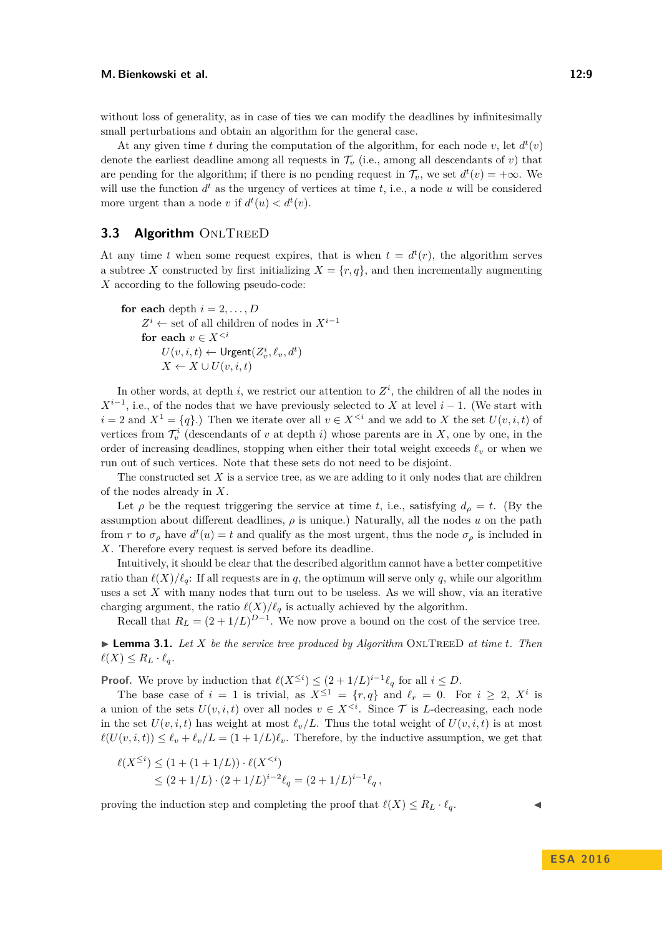without loss of generality, as in case of ties we can modify the deadlines by infinitesimally small perturbations and obtain an algorithm for the general case.

At any given time *t* during the computation of the algorithm, for each node  $v$ , let  $d^t(v)$ denote the earliest deadline among all requests in  $\mathcal{T}_v$  (i.e., among all descendants of *v*) that are pending for the algorithm; if there is no pending request in  $\mathcal{T}_v$ , we set  $d^t(v) = +\infty$ . We will use the function  $d^t$  as the urgency of vertices at time  $t$ , i.e., a node  $u$  will be considered more urgent than a node *v* if  $d^t(u) < d^t(v)$ .

# **3.3 Algorithm ONLTREED**

At any time *t* when some request expires, that is when  $t = d^t(r)$ , the algorithm serves a subtree X constructed by first initializing  $X = \{r, q\}$ , and then incrementally augmenting *X* according to the following pseudo-code:

**for each** depth  $i = 2, \ldots, D$  $Z^i$  ← set of all children of nodes in  $X^{i-1}$ for each  $v \in X^{\leq i}$  $U(v, i, t) \leftarrow$  Urgent $(Z_v^i, \ell_v, d^t)$  $X \leftarrow X \cup U(v, i, t)$ 

In other words, at depth  $i$ , we restrict our attention to  $Z^i$ , the children of all the nodes in  $X^{i-1}$ , i.e., of the nodes that we have previously selected to *X* at level *i* − 1. (We start with *i* = 2 and  $X^1 = \{q\}$ .) Then we iterate over all  $v \in X^{\leq i}$  and we add to *X* the set  $U(v, i, t)$  of vertices from  $\mathcal{T}_{v}^{i}$  (descendants of *v* at depth *i*) whose parents are in *X*, one by one, in the order of increasing deadlines, stopping when either their total weight exceeds  $\ell$ <sup>*v*</sup> or when we run out of such vertices. Note that these sets do not need to be disjoint.

The constructed set  $X$  is a service tree, as we are adding to it only nodes that are children of the nodes already in *X*.

Let  $\rho$  be the request triggering the service at time *t*, i.e., satisfying  $d_{\rho} = t$ . (By the assumption about different deadlines,  $\rho$  is unique.) Naturally, all the nodes  $u$  on the path from *r* to  $\sigma_{\rho}$  have  $d^{t}(u) = t$  and qualify as the most urgent, thus the node  $\sigma_{\rho}$  is included in *X*. Therefore every request is served before its deadline.

Intuitively, it should be clear that the described algorithm cannot have a better competitive ratio than  $\ell(X)/\ell_q$ : If all requests are in *q*, the optimum will serve only *q*, while our algorithm uses a set X with many nodes that turn out to be useless. As we will show, via an iterative charging argument, the ratio  $\ell(X)/\ell_q$  is actually achieved by the algorithm.

Recall that  $R_L = (2 + 1/L)^{D-1}$ . We now prove a bound on the cost of the service tree.

<span id="page-8-0"></span> $\blacktriangleright$  **Lemma 3.1.** Let X be the service tree produced by Algorithm ONLTREED at time *t*. Then  $\ell(X) \leq R_L \cdot \ell_q$ .

**Proof.** We prove by induction that  $\ell(X^{\leq i}) \leq (2 + 1/L)^{i-1} \ell_q$  for all  $i \leq D$ .

The base case of  $i = 1$  is trivial, as  $X^{\leq 1} = \{r, q\}$  and  $\ell_r = 0$ . For  $i \geq 2$ ,  $X^i$  is a union of the sets  $U(v, i, t)$  over all nodes  $v \in X^{\leq i}$ . Since  $\mathcal T$  is *L*-decreasing, each node in the set  $U(v, i, t)$  has weight at most  $\ell_v/L$ . Thus the total weight of  $U(v, i, t)$  is at most  $\ell(U(v, i, t)) \leq \ell_v + \ell_v/L = (1 + 1/L)\ell_v$ . Therefore, by the inductive assumption, we get that

$$
\ell(X^{\leq i}) \leq (1 + (1 + 1/L)) \cdot \ell(X^{\leq (2 + 1/L) \cdot (2 + 1/L)^{i-2} \ell_q = (2 + 1/L)^{i-1} \ell_q,
$$

proving the induction step and completing the proof that  $\ell(X) \leq R_L \cdot \ell_q$ .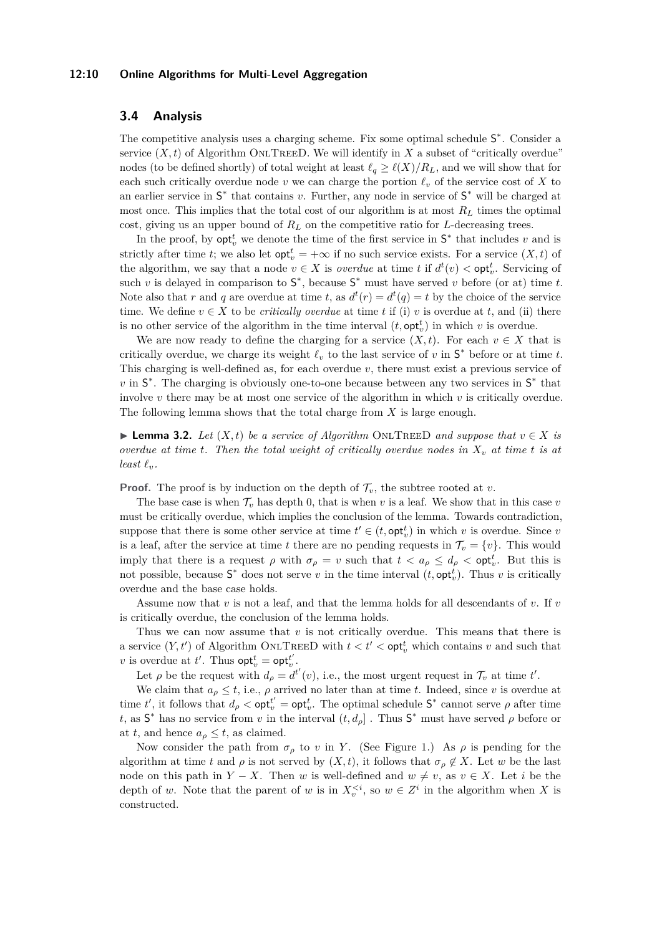### **12:10 Online Algorithms for Multi-Level Aggregation**

# **3.4 Analysis**

The competitive analysis uses a charging scheme. Fix some optimal schedule  $S^*$ . Consider a service  $(X, t)$  of Algorithm ONLTREED. We will identify in  $X$  a subset of "critically overdue" nodes (to be defined shortly) of total weight at least  $\ell_q \geq \ell(X)/R_L$ , and we will show that for each such critically overdue node  $v$  we can charge the portion  $\ell_v$  of the service cost of  $X$  to an earlier service in  $S^*$  that contains *v*. Further, any node in service of  $S^*$  will be charged at most once. This implies that the total cost of our algorithm is at most *R<sup>L</sup>* times the optimal cost, giving us an upper bound of  $R_L$  on the competitive ratio for *L*-decreasing trees.

In the proof, by  $\mathsf{opt}^t_v$  we denote the time of the first service in  $\mathsf{S}^*$  that includes *v* and is strictly after time *t*; we also let  $\mathsf{opt}_{v}^{t} = +\infty$  if no such service exists. For a service  $(X, t)$  of the algorithm, we say that a node  $v \in X$  is *overdue* at time *t* if  $d^t(v) < \text{opt}_v^t$ . Servicing of such *v* is delayed in comparison to  $S^*$ , because  $S^*$  must have served *v* before (or at) time *t*. Note also that *r* and *q* are overdue at time *t*, as  $d^t(r) = d^t(q) = t$  by the choice of the service time. We define  $v \in X$  to be *critically overdue* at time *t* if (i) *v* is overdue at *t*, and (ii) there is no other service of the algorithm in the time interval  $(t, \text{opt}_v^t)$  in which  $v$  is overdue.

We are now ready to define the charging for a service  $(X, t)$ . For each  $v \in X$  that is critically overdue, we charge its weight  $\ell_v$  to the last service of  $v$  in  $S^*$  before or at time  $t$ . This charging is well-defined as, for each overdue *v*, there must exist a previous service of *v* in  $S^*$ . The charging is obviously one-to-one because between any two services in  $S^*$  that involve *v* there may be at most one service of the algorithm in which *v* is critically overdue. The following lemma shows that the total charge from *X* is large enough.

<span id="page-9-0"></span>► **Lemma 3.2.** *Let*  $(X, t)$  *be a service of Algorithm* ONLTREED *and suppose that*  $v \in X$  *is overdue at time t. Then the total weight of critically overdue nodes in X<sup>v</sup> at time t is at least*  $\ell_v$ *.* 

**Proof.** The proof is by induction on the depth of  $\mathcal{T}_v$ , the subtree rooted at *v*.

The base case is when  $\mathcal{T}_v$  has depth 0, that is when  $v$  is a leaf. We show that in this case  $v$ must be critically overdue, which implies the conclusion of the lemma. Towards contradiction, suppose that there is some other service at time  $t' \in (t, \text{opt}_v^t)$  in which *v* is overdue. Since *v* is a leaf, after the service at time *t* there are no pending requests in  $\mathcal{T}_v = \{v\}$ . This would imply that there is a request  $\rho$  with  $\sigma_{\rho} = v$  such that  $t < a_{\rho} \leq d_{\rho} < \text{opt}_{v}^{t}$ . But this is not possible, because  $S^*$  does not serve *v* in the time interval  $(t, \text{opt}_v^t)$ . Thus *v* is critically overdue and the base case holds.

Assume now that *v* is not a leaf, and that the lemma holds for all descendants of *v*. If *v* is critically overdue, the conclusion of the lemma holds.

Thus we can now assume that *v* is not critically overdue. This means that there is a service  $(Y, t')$  of Algorithm ONLTREED with  $t < t' <$  opt<sub>v</sub> which contains v and such that *v* is overdue at *t'*. Thus  $\mathsf{opt}_{v}^{t} = \mathsf{opt}_{v}^{t'}$ .

Let  $\rho$  be the request with  $d_{\rho} = d^{t'}(v)$ , i.e., the most urgent request in  $\mathcal{T}_v$  at time  $t'$ .

We claim that  $a_{\rho} \leq t$ , i.e.,  $\rho$  arrived no later than at time *t*. Indeed, since *v* is overdue at time *t'*, it follows that  $d_{\rho} < \text{opt}_{v}^{t'} = \text{opt}_{v}^{t}$ . The optimal schedule  $S^*$  cannot serve  $\rho$  after time *t*, as  $S^*$  has no service from *v* in the interval  $(t, d_\rho)$ . Thus  $S^*$  must have served  $\rho$  before or at *t*, and hence  $a_{\rho} \leq t$ , as claimed.

Now consider the path from  $\sigma_{\rho}$  to *v* in *Y*. (See Figure [1.](#page-10-1)) As  $\rho$  is pending for the algorithm at time *t* and  $\rho$  is not served by  $(X, t)$ , it follows that  $\sigma_{\rho} \notin X$ . Let *w* be the last node on this path in  $Y - X$ . Then *w* is well-defined and  $w \neq v$ , as  $v \in X$ . Let *i* be the depth of *w*. Note that the parent of *w* is in  $X_v^{, so  $w \in Z^i$  in the algorithm when *X* is$ constructed.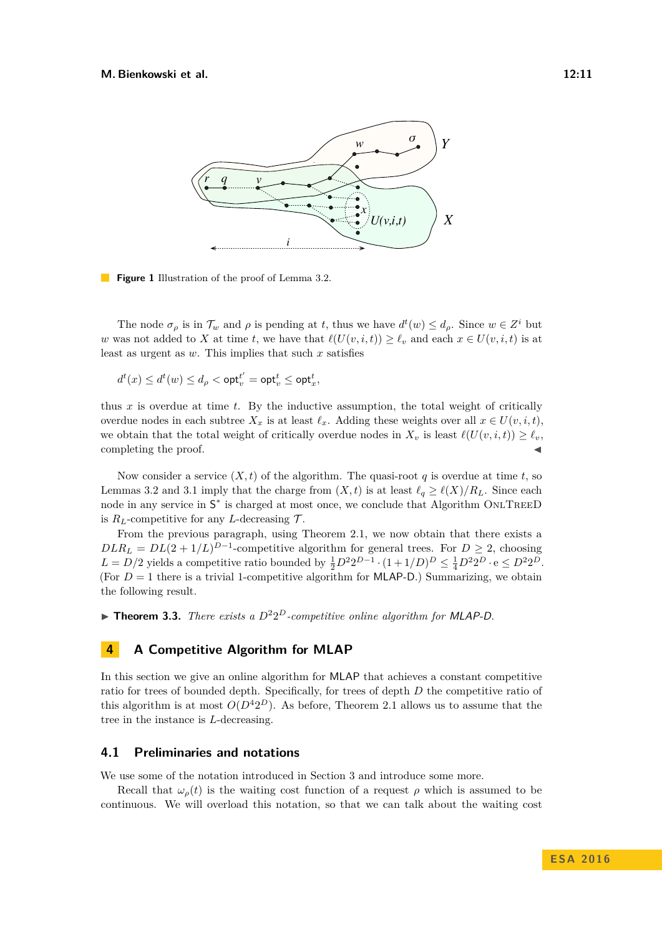<span id="page-10-1"></span>

**Figure 1** Illustration of the proof of Lemma [3.2.](#page-9-0)

The node  $\sigma_{\rho}$  is in  $\mathcal{T}_w$  and  $\rho$  is pending at *t*, thus we have  $d^t(w) \leq d_{\rho}$ . Since  $w \in Z^i$  but *w* was not added to *X* at time *t*, we have that  $\ell(U(v, i, t)) \geq \ell_v$  and each  $x \in U(v, i, t)$  is at least as urgent as *w*. This implies that such *x* satisfies

$$
d^t(x) \leq d^t(w) \leq d_\rho < \mathsf{opt}_v^{t'} = \mathsf{opt}_v^t \leq \mathsf{opt}_x^t,
$$

thus *x* is overdue at time *t*. By the inductive assumption, the total weight of critically overdue nodes in each subtree  $X_x$  is at least  $\ell_x$ . Adding these weights over all  $x \in U(v, i, t)$ , we obtain that the total weight of critically overdue nodes in  $X_v$  is least  $\ell(U(v, i, t)) \geq \ell_v$ , completing the proof.

Now consider a service  $(X, t)$  of the algorithm. The quasi-root q is overdue at time t, so Lemmas [3.2](#page-9-0) and [3.1](#page-8-0) imply that the charge from  $(X, t)$  is at least  $\ell_q \ge \ell(X)/R_L$ . Since each node in any service in  $S^*$  is charged at most once, we conclude that Algorithm ONLTREED is  $R_L$ -competitive for any *L*-decreasing  $\mathcal{T}$ .

From the previous paragraph, using Theorem [2.1,](#page-6-1) we now obtain that there exists a  $DLR_L = DL(2 + 1/L)^{D-1}$ -competitive algorithm for general trees. For  $D \geq 2$ , choosing  $L = D/2$  yields a competitive ratio bounded by  $\frac{1}{2}D^2 2^{D-1} \cdot (1+1/D)^D \leq \frac{1}{4}D^2 2^D \cdot e \leq D^2 2^D$ . (For  $D = 1$  there is a trivial 1-competitive algorithm for MLAP-D.) Summarizing, we obtain the following result.

**Theorem 3.3.** *There exists a*  $D^22^D$ -competitive online algorithm for MLAP-D.

# <span id="page-10-0"></span>**4 A Competitive Algorithm for MLAP**

In this section we give an online algorithm for MLAP that achieves a constant competitive ratio for trees of bounded depth. Specifically, for trees of depth *D* the competitive ratio of this algorithm is at most  $O(D^42^D)$ . As before, Theorem [2.1](#page-6-1) allows us to assume that the tree in the instance is *L*-decreasing.

### **4.1 Preliminaries and notations**

We use some of the notation introduced in Section [3](#page-6-0) and introduce some more.

Recall that  $\omega_{\rho}(t)$  is the waiting cost function of a request  $\rho$  which is assumed to be continuous. We will overload this notation, so that we can talk about the waiting cost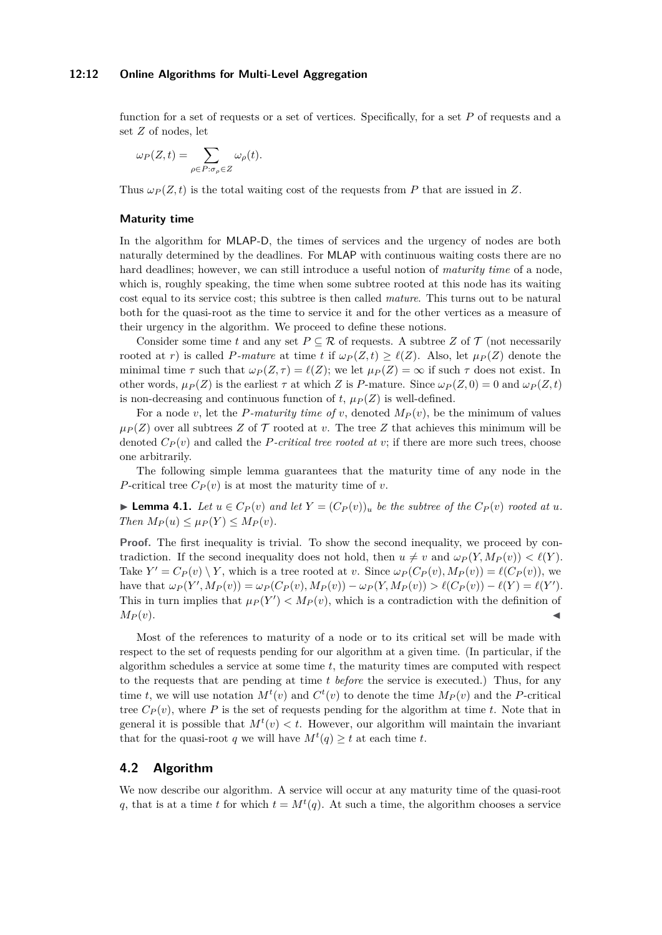#### **12:12 Online Algorithms for Multi-Level Aggregation**

function for a set of requests or a set of vertices. Specifically, for a set *P* of requests and a set *Z* of nodes, let

$$
\omega_P(Z,t) = \sum_{\rho \in P: \sigma_\rho \in Z} \omega_\rho(t).
$$

Thus  $\omega_P(Z, t)$  is the total waiting cost of the requests from P that are issued in Z.

#### **Maturity time**

In the algorithm for MLAP-D, the times of services and the urgency of nodes are both naturally determined by the deadlines. For MLAP with continuous waiting costs there are no hard deadlines; however, we can still introduce a useful notion of *maturity time* of a node, which is, roughly speaking, the time when some subtree rooted at this node has its waiting cost equal to its service cost; this subtree is then called *mature*. This turns out to be natural both for the quasi-root as the time to service it and for the other vertices as a measure of their urgency in the algorithm. We proceed to define these notions.

Consider some time *t* and any set  $P \subseteq \mathcal{R}$  of requests. A subtree Z of  $\mathcal{T}$  (not necessarily rooted at *r*) is called *P-mature* at time *t* if  $\omega_P(Z,t) \geq \ell(Z)$ . Also, let  $\mu_P(Z)$  denote the minimal time  $\tau$  such that  $\omega_P(Z, \tau) = \ell(Z)$ ; we let  $\mu_P(Z) = \infty$  if such  $\tau$  does not exist. In other words,  $\mu_P(Z)$  is the earliest  $\tau$  at which *Z* is *P*-mature. Since  $\omega_P(Z,0) = 0$  and  $\omega_P(Z,t)$ is non-decreasing and continuous function of *t*,  $\mu_P(Z)$  is well-defined.

For a node *v*, let the *P-maturity time of v*, denoted  $M_P(v)$ , be the minimum of values  $\mu_P(Z)$  over all subtrees *Z* of *T* rooted at *v*. The tree *Z* that achieves this minimum will be denoted  $C_P(v)$  and called the *P*-critical tree rooted at *v*; if there are more such trees, choose one arbitrarily.

The following simple lemma guarantees that the maturity time of any node in the *P*-critical tree  $C_P(v)$  is at most the maturity time of *v*.

► **Lemma 4.1.** *Let*  $u \in C_P(v)$  *and let*  $Y = (C_P(v))_u$  *be the subtree of the*  $C_P(v)$  *rooted at*  $u$ *.*  $Then M<sub>P</sub>(u) \leq \mu<sub>P</sub>(Y) \leq M<sub>P</sub>(v).$ 

**Proof.** The first inequality is trivial. To show the second inequality, we proceed by contradiction. If the second inequality does not hold, then  $u \neq v$  and  $\omega_P(Y, M_P(v)) < \ell(Y)$ . Take  $Y' = C_P(v) \setminus Y$ , which is a tree rooted at *v*. Since  $\omega_P(C_P(v), M_P(v)) = \ell(C_P(v))$ , we have that  $\omega_P(Y', M_P(v)) = \omega_P(C_P(v), M_P(v)) - \omega_P(Y, M_P(v)) > \ell(C_P(v)) - \ell(Y) = \ell(Y')$ . This in turn implies that  $\mu_P(Y') < M_P(v)$ , which is a contradiction with the definition of  $M_P(v)$ .

Most of the references to maturity of a node or to its critical set will be made with respect to the set of requests pending for our algorithm at a given time. (In particular, if the algorithm schedules a service at some time *t*, the maturity times are computed with respect to the requests that are pending at time *t before* the service is executed.) Thus, for any time *t*, we will use notation  $M^t(v)$  and  $C^t(v)$  to denote the time  $M_P(v)$  and the *P*-critical tree  $C_P(v)$ , where P is the set of requests pending for the algorithm at time *t*. Note that in general it is possible that  $M^t(v) < t$ . However, our algorithm will maintain the invariant that for the quasi-root *q* we will have  $M^t(q) \geq t$  at each time *t*.

# **4.2 Algorithm**

We now describe our algorithm. A service will occur at any maturity time of the quasi-root *q*, that is at a time *t* for which  $t = M<sup>t</sup>(q)$ . At such a time, the algorithm chooses a service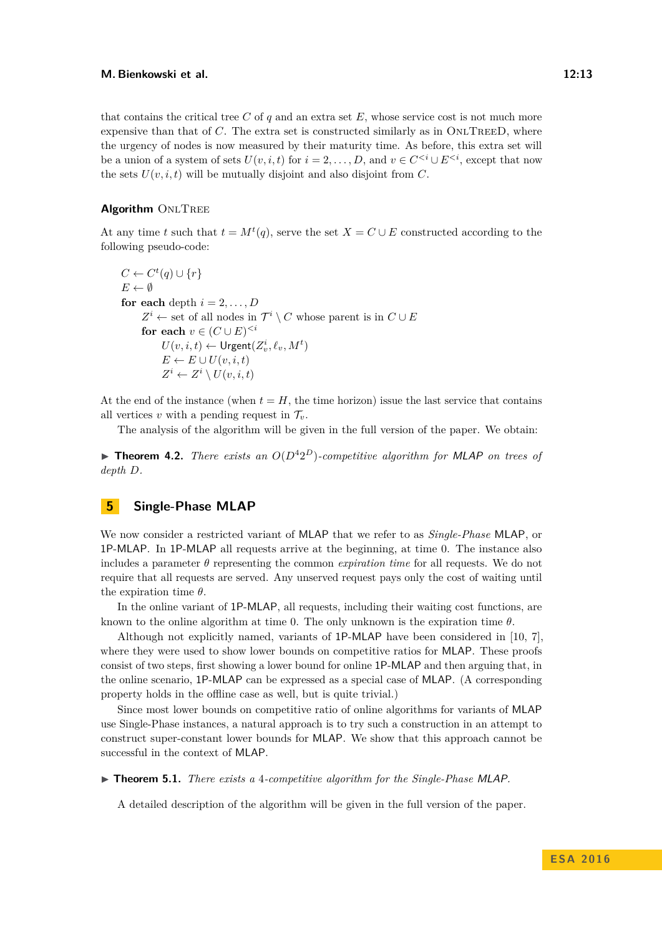that contains the critical tree  $C$  of  $q$  and an extra set  $E$ , whose service cost is not much more expensive than that of  $C$ . The extra set is constructed similarly as in  $ONLTEED$ , where the urgency of nodes is now measured by their maturity time. As before, this extra set will be a union of a system of sets  $U(v, i, t)$  for  $i = 2, \ldots, D$ , and  $v \in C^{\leq i} \cup E^{\leq i}$ , except that now the sets  $U(v, i, t)$  will be mutually disjoint and also disjoint from  $C$ .

### **Algorithm** ONLTREE

At any time *t* such that  $t = M^t(q)$ , serve the set  $X = C \cup E$  constructed according to the following pseudo-code:

$$
C \leftarrow C^t(q) \cup \{r\}
$$
  
\n
$$
E \leftarrow \emptyset
$$
  
\n**for each** depth  $i = 2, ..., D$   
\n
$$
Z^i \leftarrow \text{set of all nodes in } \mathcal{T}^i \setminus C \text{ whose parent is in } C \cup E
$$
  
\n**for each**  $v \in (C \cup E)^{i}$   
\n
$$
U(v, i, t) \leftarrow \text{Urgent}(Z_v^i, \ell_v, M^t)
$$
  
\n
$$
E \leftarrow E \cup U(v, i, t)
$$
  
\n
$$
Z^i \leftarrow Z^i \setminus U(v, i, t)
$$

At the end of the instance (when  $t = H$ , the time horizon) issue the last service that contains all vertices *v* with a pending request in  $\mathcal{T}_v$ .

The analysis of the algorithm will be given in the full version of the paper. We obtain:

**Theorem 4.2.** *There exists an*  $O(D^42^D)$ *-competitive algorithm for MLAP on trees of depth D.*

# <span id="page-12-0"></span>**5 Single-Phase MLAP**

We now consider a restricted variant of MLAP that we refer to as *Single-Phase* MLAP, or 1P-MLAP. In 1P-MLAP all requests arrive at the beginning, at time 0. The instance also includes a parameter  $\theta$  representing the common *expiration time* for all requests. We do not require that all requests are served. Any unserved request pays only the cost of waiting until the expiration time *θ*.

In the online variant of 1P-MLAP, all requests, including their waiting cost functions, are known to the online algorithm at time 0. The only unknown is the expiration time *θ*.

Although not explicitly named, variants of 1P-MLAP have been considered in [\[10,](#page-15-5) [7\]](#page-15-11), where they were used to show lower bounds on competitive ratios for MLAP. These proofs consist of two steps, first showing a lower bound for online 1P-MLAP and then arguing that, in the online scenario, 1P-MLAP can be expressed as a special case of MLAP. (A corresponding property holds in the offline case as well, but is quite trivial.)

Since most lower bounds on competitive ratio of online algorithms for variants of MLAP use Single-Phase instances, a natural approach is to try such a construction in an attempt to construct super-constant lower bounds for MLAP. We show that this approach cannot be successful in the context of MLAP.

▶ **Theorem 5.1.** *There exists a* 4*-competitive algorithm for the Single-Phase MLAP.* 

A detailed description of the algorithm will be given in the full version of the paper.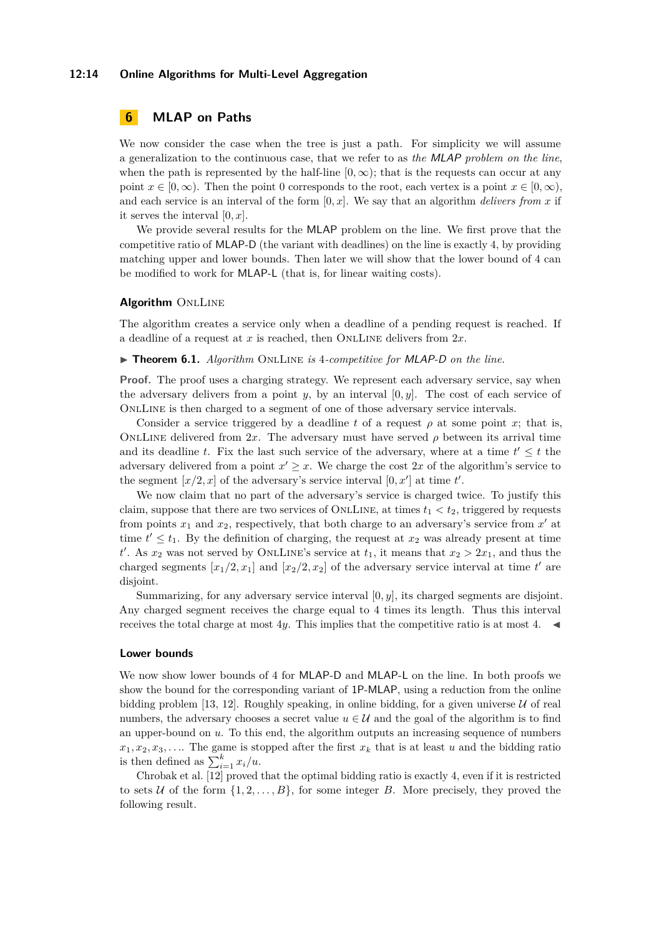### **12:14 Online Algorithms for Multi-Level Aggregation**

# <span id="page-13-0"></span>**6 MLAP on Paths**

We now consider the case when the tree is just a path. For simplicity we will assume a generalization to the continuous case, that we refer to as *the* MLAP *problem on the line*, when the path is represented by the half-line  $[0, \infty)$ ; that is the requests can occur at any point  $x \in [0, \infty)$ . Then the point 0 corresponds to the root, each vertex is a point  $x \in [0, \infty)$ , and each service is an interval of the form  $[0, x]$ . We say that an algorithm *delivers from x* if it serves the interval [0*, x*].

We provide several results for the MLAP problem on the line. We first prove that the competitive ratio of MLAP-D (the variant with deadlines) on the line is exactly 4, by providing matching upper and lower bounds. Then later we will show that the lower bound of 4 can be modified to work for MLAP-L (that is, for linear waiting costs).

### **Algorithm** ONLLINE

The algorithm creates a service only when a deadline of a pending request is reached. If a deadline of a request at *x* is reached, then OnlLine delivers from 2*x*.

▶ **Theorem 6.1.** *Algorithm* ONLLINE *is* 4*-competitive for MLAP-D on the line.* 

**Proof.** The proof uses a charging strategy. We represent each adversary service, say when the adversary delivers from a point  $y$ , by an interval  $[0, y]$ . The cost of each service of OnlLine is then charged to a segment of one of those adversary service intervals.

Consider a service triggered by a deadline *t* of a request  $\rho$  at some point *x*; that is, ONLLINE delivered from 2x. The adversary must have served  $\rho$  between its arrival time and its deadline *t*. Fix the last such service of the adversary, where at a time  $t' \leq t$  the adversary delivered from a point  $x' \geq x$ . We charge the cost 2x of the algorithm's service to the segment  $[x/2, x]$  of the adversary's service interval  $[0, x']$  at time  $t'$ .

We now claim that no part of the adversary's service is charged twice. To justify this claim, suppose that there are two services of ONLLINE, at times  $t_1 < t_2$ , triggered by requests from points  $x_1$  and  $x_2$ , respectively, that both charge to an adversary's service from  $x'$  at time  $t' \leq t_1$ . By the definition of charging, the request at *x*<sub>2</sub> was already present at time *t*<sup>*t*</sup>. As *x*<sub>2</sub> was not served by ONLLINE's service at *t*<sub>1</sub>, it means that  $x_2 > 2x_1$ , and thus the charged segments  $[x_1/2, x_1]$  and  $[x_2/2, x_2]$  of the adversary service interval at time  $t'$  are disjoint.

Summarizing, for any adversary service interval [0*, y*], its charged segments are disjoint. Any charged segment receives the charge equal to 4 times its length. Thus this interval receives the total charge at most 4*y*. This implies that the competitive ratio is at most 4.

#### **Lower bounds**

We now show lower bounds of 4 for **MLAP-D** and **MLAP-L** on the line. In both proofs we show the bound for the corresponding variant of 1P-MLAP, using a reduction from the online bidding problem [\[13,](#page-15-12) [12\]](#page-15-13). Roughly speaking, in online bidding, for a given universe  $U$  of real numbers, the adversary chooses a secret value  $u \in \mathcal{U}$  and the goal of the algorithm is to find an upper-bound on *u*. To this end, the algorithm outputs an increasing sequence of numbers  $x_1, x_2, x_3, \ldots$  The game is stopped after the first  $x_k$  that is at least *u* and the bidding ratio is then defined as  $\sum_{i=1}^{k} x_i/u$ .

Chrobak et al. [\[12\]](#page-15-13) proved that the optimal bidding ratio is exactly 4, even if it is restricted to sets U of the form  $\{1, 2, \ldots, B\}$ , for some integer B. More precisely, they proved the following result.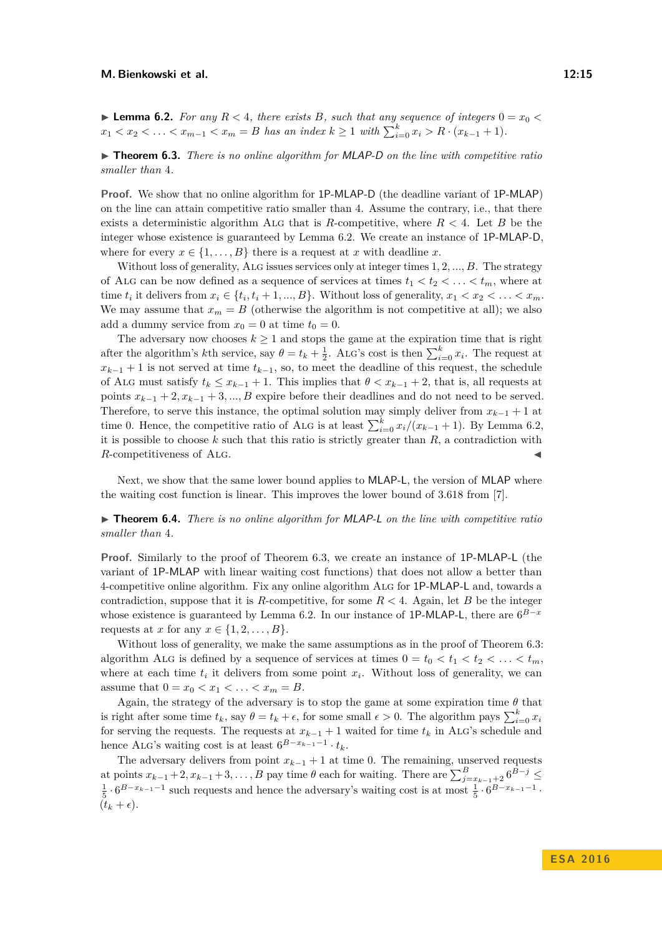<span id="page-14-0"></span>**Example 1.2.** For any  $R < 4$ , there exists B, such that any sequence of integers  $0 = x_0 <$  $x_1 < x_2 < \ldots < x_{m-1} < x_m = B$  has an index  $k \geq 1$  with  $\sum_{i=0}^{k} x_i > R \cdot (x_{k-1} + 1)$ .

<span id="page-14-1"></span>**► Theorem 6.3.** *There is no online algorithm for MLAP-D on the line with competitive ratio smaller than* 4*.*

**Proof.** We show that no online algorithm for 1P-MLAP-D (the deadline variant of 1P-MLAP) on the line can attain competitive ratio smaller than 4. Assume the contrary, i.e., that there exists a deterministic algorithm ALG that is *R*-competitive, where  $R < 4$ . Let *B* be the integer whose existence is guaranteed by Lemma [6.2.](#page-14-0) We create an instance of 1P-MLAP-D, where for every  $x \in \{1, ..., B\}$  there is a request at *x* with deadline *x*.

Without loss of generality, Alg issues services only at integer times 1*,* 2*, ..., B*. The strategy of ALG can be now defined as a sequence of services at times  $t_1 < t_2 < \ldots < t_m$ , where at time  $t_i$  it delivers from  $x_i \in \{t_i, t_i + 1, ..., B\}$ . Without loss of generality,  $x_1 < x_2 < \ldots < x_m$ . We may assume that  $x_m = B$  (otherwise the algorithm is not competitive at all); we also add a dummy service from  $x_0 = 0$  at time  $t_0 = 0$ .

The adversary now chooses  $k \geq 1$  and stops the game at the expiration time that is right after the algorithm's *k*th service, say  $\theta = t_k + \frac{1}{2}$ . ALG's cost is then  $\sum_{i=0}^{k} x_i$ . The request at  $x_{k-1} + 1$  is not served at time  $t_{k-1}$ , so, to meet the deadline of this request, the schedule of ALG must satisfy  $t_k \leq x_{k-1} + 1$ . This implies that  $\theta < x_{k-1} + 2$ , that is, all requests at points  $x_{k-1} + 2, x_{k-1} + 3, \ldots, B$  expire before their deadlines and do not need to be served. Therefore, to serve this instance, the optimal solution may simply deliver from  $x_{k-1} + 1$  at time 0. Hence, the competitive ratio of ALG is at least  $\sum_{i=0}^{k} x_i/(x_{k-1}+1)$ . By Lemma [6.2,](#page-14-0) it is possible to choose *k* such that this ratio is strictly greater than *R*, a contradiction with *R*-competitiveness of ALG.

Next, we show that the same lower bound applies to MLAP-L, the version of MLAP where the waiting cost function is linear. This improves the lower bound of 3*.*618 from [\[7\]](#page-15-11).

**► Theorem 6.4.** *There is no online algorithm for MLAP-L on the line with competitive ratio smaller than* 4*.*

**Proof.** Similarly to the proof of Theorem [6.3,](#page-14-1) we create an instance of 1P-MLAP-L (the variant of 1P-MLAP with linear waiting cost functions) that does not allow a better than 4-competitive online algorithm. Fix any online algorithm Alg for 1P-MLAP-L and, towards a contradiction, suppose that it is *R*-competitive, for some  $R < 4$ . Again, let *B* be the integer whose existence is guaranteed by Lemma [6.2.](#page-14-0) In our instance of 1P-MLAP-L, there are  $6^{B-x}$ requests at *x* for any  $x \in \{1, 2, \ldots, B\}.$ 

Without loss of generality, we make the same assumptions as in the proof of Theorem [6.3:](#page-14-1) algorithm ALG is defined by a sequence of services at times  $0 = t_0 < t_1 < t_2 < \ldots < t_m$ , where at each time  $t_i$  it delivers from some point  $x_i$ . Without loss of generality, we can assume that  $0 = x_0 < x_1 < \ldots < x_m = B$ .

Again, the strategy of the adversary is to stop the game at some expiration time  $\theta$  that is right after some time  $t_k$ , say  $\theta = t_k + \epsilon$ , for some small  $\epsilon > 0$ . The algorithm pays  $\sum_{i=0}^k x_i$ for serving the requests. The requests at  $x_{k-1} + 1$  waited for time  $t_k$  in ALG's schedule and hence ALG's waiting cost is at least  $6^{B-x_{k-1}-1} \cdot t_k$ .

The adversary delivers from point  $x_{k-1} + 1$  at time 0. The remaining, unserved requests at points  $x_{k-1} + 2, x_{k-1} + 3, \ldots, B$  pay time  $\theta$  each for waiting. There are  $\sum_{j=x_{k-1}+2}^{B} 6^{B-j} \leq$  $\frac{1}{5} \cdot 6^{B-x_{k-1}-1}$  such requests and hence the adversary's waiting cost is at most  $\frac{1}{5} \cdot 6^{B-x_{k-1}-1}$ .  $(t_k + \epsilon).$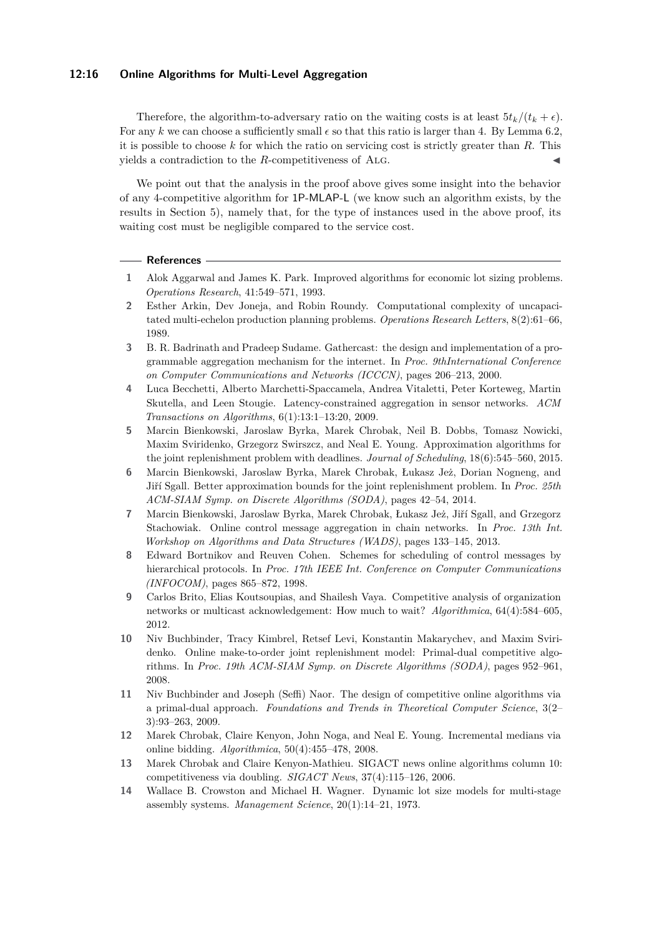### **12:16 Online Algorithms for Multi-Level Aggregation**

Therefore, the algorithm-to-adversary ratio on the waiting costs is at least  $5t_k/(t_k + \epsilon)$ . For any k we can choose a sufficiently small  $\epsilon$  so that this ratio is larger than 4. By Lemma [6.2,](#page-14-0) it is possible to choose *k* for which the ratio on servicing cost is strictly greater than *R*. This yields a contradiction to the *R*-competitiveness of ALG.

We point out that the analysis in the proof above gives some insight into the behavior of any 4-competitive algorithm for 1P-MLAP-L (we know such an algorithm exists, by the results in Section [5\)](#page-12-0), namely that, for the type of instances used in the above proof, its waiting cost must be negligible compared to the service cost.

#### **References**

- <span id="page-15-0"></span>**1** Alok Aggarwal and James K. Park. Improved algorithms for economic lot sizing problems. *Operations Research*, 41:549–571, 1993.
- <span id="page-15-2"></span>**2** Esther Arkin, Dev Joneja, and Robin Roundy. Computational complexity of uncapacitated multi-echelon production planning problems. *Operations Research Letters*, 8(2):61–66, 1989.
- <span id="page-15-8"></span>**3** B. R. Badrinath and Pradeep Sudame. Gathercast: the design and implementation of a programmable aggregation mechanism for the internet. In *Proc. 9thInternational Conference on Computer Communications and Networks (ICCCN)*, pages 206–213, 2000.
- <span id="page-15-10"></span>**4** Luca Becchetti, Alberto Marchetti-Spaccamela, Andrea Vitaletti, Peter Korteweg, Martin Skutella, and Leen Stougie. Latency-constrained aggregation in sensor networks. *ACM Transactions on Algorithms*, 6(1):13:1–13:20, 2009.
- <span id="page-15-3"></span>**5** Marcin Bienkowski, Jaroslaw Byrka, Marek Chrobak, Neil B. Dobbs, Tomasz Nowicki, Maxim Sviridenko, Grzegorz Swirszcz, and Neal E. Young. Approximation algorithms for the joint replenishment problem with deadlines. *Journal of Scheduling*, 18(6):545–560, 2015.
- <span id="page-15-4"></span>**6** Marcin Bienkowski, Jaroslaw Byrka, Marek Chrobak, Łukasz Jeż, Dorian Nogneng, and Jiří Sgall. Better approximation bounds for the joint replenishment problem. In *Proc. 25th ACM-SIAM Symp. on Discrete Algorithms (SODA)*, pages 42–54, 2014.
- <span id="page-15-11"></span>**7** Marcin Bienkowski, Jaroslaw Byrka, Marek Chrobak, Łukasz Jeż, Jiří Sgall, and Grzegorz Stachowiak. Online control message aggregation in chain networks. In *Proc. 13th Int. Workshop on Algorithms and Data Structures (WADS)*, pages 133–145, 2013.
- <span id="page-15-7"></span>**8** Edward Bortnikov and Reuven Cohen. Schemes for scheduling of control messages by hierarchical protocols. In *Proc. 17th IEEE Int. Conference on Computer Communications (INFOCOM)*, pages 865–872, 1998.
- <span id="page-15-6"></span>**9** Carlos Brito, Elias Koutsoupias, and Shailesh Vaya. Competitive analysis of organization networks or multicast acknowledgement: How much to wait? *Algorithmica*, 64(4):584–605, 2012.
- <span id="page-15-5"></span>**10** Niv Buchbinder, Tracy Kimbrel, Retsef Levi, Konstantin Makarychev, and Maxim Sviridenko. Online make-to-order joint replenishment model: Primal-dual competitive algorithms. In *Proc. 19th ACM-SIAM Symp. on Discrete Algorithms (SODA)*, pages 952–961, 2008.
- <span id="page-15-1"></span>**11** Niv Buchbinder and Joseph (Seffi) Naor. The design of competitive online algorithms via a primal-dual approach. *Foundations and Trends in Theoretical Computer Science*, 3(2– 3):93–263, 2009.
- <span id="page-15-13"></span>**12** Marek Chrobak, Claire Kenyon, John Noga, and Neal E. Young. Incremental medians via online bidding. *Algorithmica*, 50(4):455–478, 2008.
- <span id="page-15-12"></span>**13** Marek Chrobak and Claire Kenyon-Mathieu. SIGACT news online algorithms column 10: competitiveness via doubling. *SIGACT News*, 37(4):115–126, 2006.
- <span id="page-15-9"></span>**14** Wallace B. Crowston and Michael H. Wagner. Dynamic lot size models for multi-stage assembly systems. *Management Science*, 20(1):14–21, 1973.